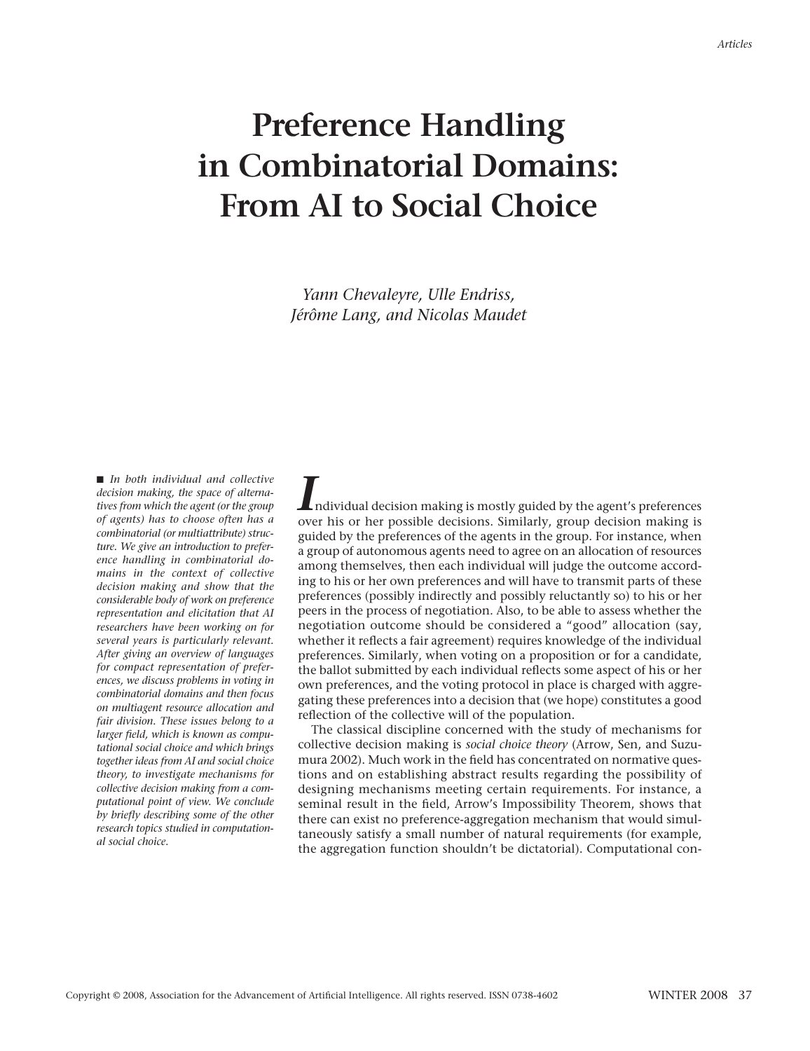# **Preference Handling in Combinatorial Domains: From AI to Social Choice**

*Yann Chevaleyre, Ulle Endriss, Jérôme Lang, and Nicolas Maudet*

■ *In both individual and collective decision making, the space of alternatives from which the agent (or the group of agents) has to choose often has a combinatorial (or multiattribute) structure. We give an introduction to preference handling in combinatorial do mains in the context of collective decision making and show that the considerable body of work on preference representation and elicitation that AI researchers have been working on for several years is particularly relevant. After giving an overview of languages for compact representation of preferences, we discuss problems in voting in combinatorial domains and then focus on multiagent resource allocation and fair division. These issues belong to a larger field, which is known as computational social choice and which brings together ideas from AI and social choice theory, to investigate mechanisms for collective decision making from a computational point of view. We conclude by briefly describing some of the other research topics studied in computational social choice.*

*I*ndividual decision making is mostly guided by the agent's preferences over his or her possible decisions. Similarly, group decision making is guided by the preferences of the agents in the group. For instance, when a group of autonomous agents need to agree on an allocation of resources among themselves, then each individual will judge the outcome according to his or her own preferences and will have to transmit parts of these preferences (possibly indirectly and possibly reluctantly so) to his or her peers in the process of negotiation. Also, to be able to assess whether the negotiation outcome should be considered a "good" allocation (say, whether it reflects a fair agreement) requires knowledge of the individual preferences. Similarly, when voting on a proposition or for a candidate, the ballot submitted by each individual reflects some aspect of his or her own preferences, and the voting protocol in place is charged with aggregating these preferences into a decision that (we hope) constitutes a good reflection of the collective will of the population.

The classical discipline concerned with the study of mechanisms for collective decision making is *social choice theory* (Arrow, Sen, and Suzumura 2002). Much work in the field has concentrated on normative questions and on establishing abstract results regarding the possibility of designing mechanisms meeting certain requirements. For instance, a seminal result in the field, Arrow's Impossibility Theorem, shows that there can exist no preference-aggregation mechanism that would simultaneously satisfy a small number of natural requirements (for example, the aggregation function shouldn't be dictatorial). Computational con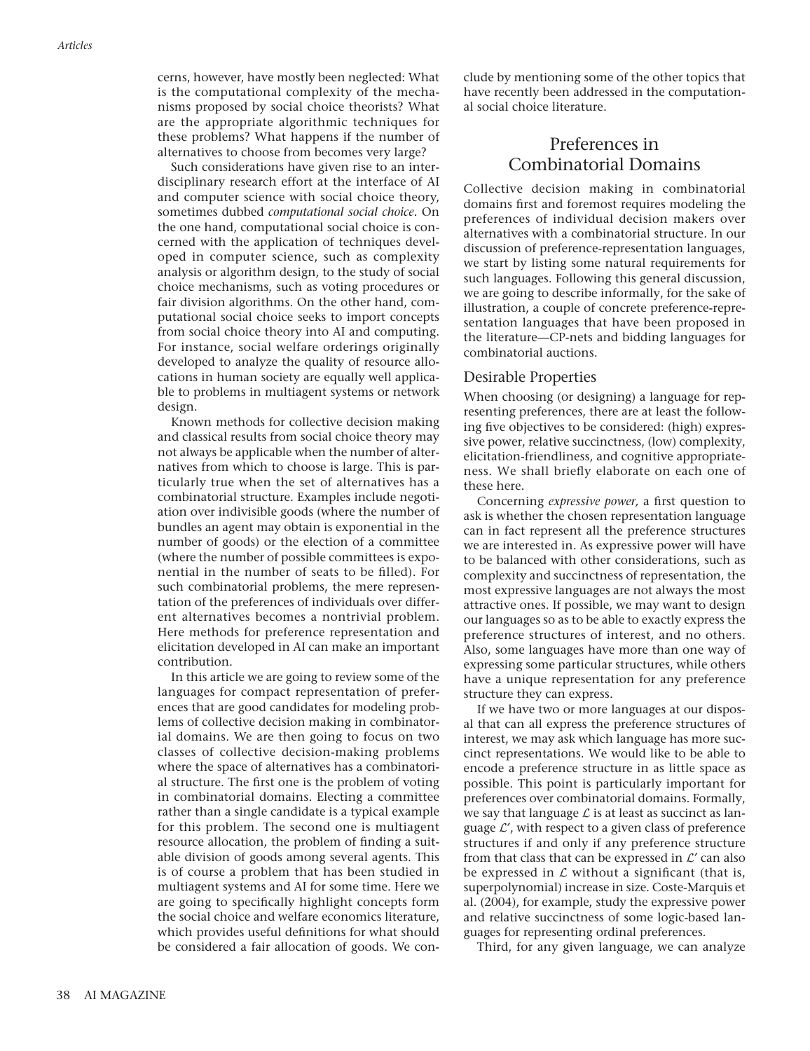cerns, however, have mostly been neglected: What is the computational complexity of the mechanisms proposed by social choice theorists? What are the appropriate algorithmic techniques for these problems? What happens if the number of alternatives to choose from becomes very large?

Such considerations have given rise to an interdisciplinary research effort at the interface of AI and computer science with social choice theory, sometimes dubbed *computational social choice.* On the one hand, computational social choice is concerned with the application of techniques developed in computer science, such as complexity analysis or algorithm design, to the study of social choice mechanisms, such as voting procedures or fair division algorithms. On the other hand, computational social choice seeks to import concepts from social choice theory into AI and computing. For instance, social welfare orderings originally developed to analyze the quality of resource allocations in human society are equally well applicable to problems in multiagent systems or network design.

Known methods for collective decision making and classical results from social choice theory may not always be applicable when the number of alternatives from which to choose is large. This is particularly true when the set of alternatives has a combinatorial structure. Examples include negotiation over indivisible goods (where the number of bundles an agent may obtain is exponential in the number of goods) or the election of a committee (where the number of possible committees is exponential in the number of seats to be filled). For such combinatorial problems, the mere representation of the preferences of individuals over different alternatives becomes a nontrivial problem. Here methods for preference representation and elicitation developed in AI can make an important contribution.

In this article we are going to review some of the languages for compact representation of preferences that are good candidates for modeling problems of collective decision making in combinatorial domains. We are then going to focus on two classes of collective decision-making problems where the space of alternatives has a combinatorial structure. The first one is the problem of voting in combinatorial domains. Electing a committee rather than a single candidate is a typical example for this problem. The second one is multiagent resource allocation, the problem of finding a suitable division of goods among several agents. This is of course a problem that has been studied in multiagent systems and AI for some time. Here we are going to specifically highlight concepts form the social choice and welfare economics literature, which provides useful definitions for what should be considered a fair allocation of goods. We conclude by mentioning some of the other topics that have recently been addressed in the computational social choice literature.

## Preferences in Combinatorial Domains

Collective decision making in combinatorial domains first and foremost requires modeling the preferences of individual decision makers over alternatives with a combinatorial structure. In our discussion of preference-representation languages, we start by listing some natural requirements for such languages. Following this general discussion, we are going to describe informally, for the sake of illustration, a couple of concrete preference-representation languages that have been proposed in the literature—CP-nets and bidding languages for combinatorial auctions.

#### Desirable Properties

When choosing (or designing) a language for representing preferences, there are at least the following five objectives to be considered: (high) expressive power, relative succinctness, (low) complexity, elicitation-friendliness, and cognitive appropriateness. We shall briefly elaborate on each one of these here.

Concerning *expressive power,* a first question to ask is whether the chosen representation language can in fact represent all the preference structures we are interested in. As expressive power will have to be balanced with other considerations, such as complexity and succinctness of representation, the most expressive languages are not always the most attractive ones. If possible, we may want to design our languages so as to be able to exactly express the preference structures of interest, and no others. Also, some languages have more than one way of expressing some particular structures, while others have a unique representation for any preference structure they can express.

If we have two or more languages at our disposal that can all express the preference structures of interest, we may ask which language has more succinct representations. We would like to be able to encode a preference structure in as little space as possible. This point is particularly important for preferences over combinatorial domains. Formally, we say that language  $\mathcal L$  is at least as succinct as language  $L'$ , with respect to a given class of preference structures if and only if any preference structure from that class that can be expressed in  $\mathcal{L}'$  can also be expressed in  $\mathcal L$  without a significant (that is, superpolynomial) increase in size. Coste-Marquis et al. (2004), for example, study the expressive power and relative succinctness of some logic-based languages for representing ordinal preferences.

Third, for any given language, we can analyze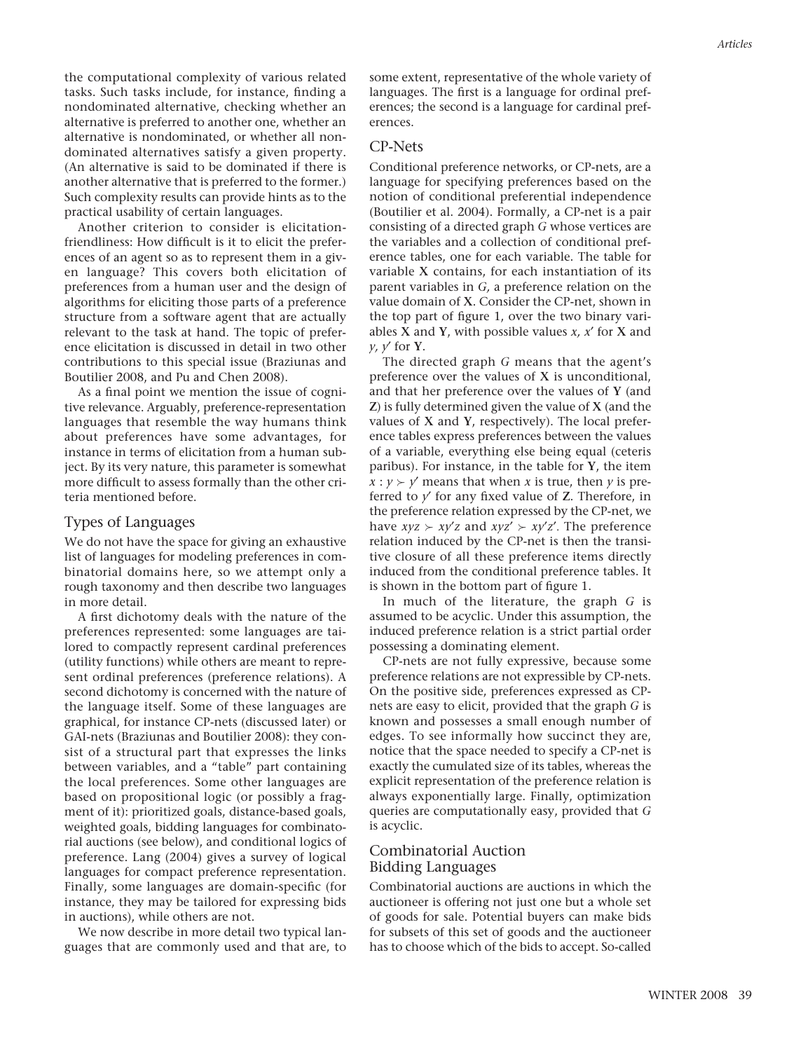the computational complexity of various related tasks. Such tasks include, for instance, finding a nondominated alternative, checking whether an alternative is preferred to another one, whether an alternative is nondominated, or whether all nondominated alternatives satisfy a given property. (An alternative is said to be dominated if there is another alternative that is preferred to the former.) Such complexity results can provide hints as to the practical usability of certain languages.

Another criterion to consider is elicitationfriendliness: How difficult is it to elicit the preferences of an agent so as to represent them in a given language? This covers both elicitation of preferences from a human user and the design of algorithms for eliciting those parts of a preference structure from a software agent that are actually relevant to the task at hand. The topic of preference elicitation is discussed in detail in two other contributions to this special issue (Braziunas and Boutilier 2008, and Pu and Chen 2008).

As a final point we mention the issue of cognitive relevance. Arguably, preference-representation languages that resemble the way humans think about preferences have some advantages, for instance in terms of elicitation from a human subject. By its very nature, this parameter is somewhat more difficult to assess formally than the other criteria mentioned before.

#### Types of Languages

We do not have the space for giving an exhaustive list of languages for modeling preferences in combinatorial domains here, so we attempt only a rough taxonomy and then describe two languages in more detail.

A first dichotomy deals with the nature of the preferences represented: some languages are tailored to compactly represent cardinal preferences (utility functions) while others are meant to represent ordinal preferences (preference relations). A second dichotomy is concerned with the nature of the language itself. Some of these languages are graphical, for instance CP-nets (discussed later) or GAI-nets (Braziunas and Boutilier 2008): they consist of a structural part that expresses the links between variables, and a "table" part containing the local preferences. Some other languages are based on propositional logic (or possibly a fragment of it): prioritized goals, distance-based goals, weighted goals, bidding languages for combinatorial auctions (see below), and conditional logics of preference. Lang (2004) gives a survey of logical languages for compact preference representation. Finally, some languages are domain-specific (for instance, they may be tailored for expressing bids in auctions), while others are not.

We now describe in more detail two typical languages that are commonly used and that are, to

some extent, representative of the whole variety of languages. The first is a language for ordinal preferences; the second is a language for cardinal preferences.

#### CP-Nets

Conditional preference networks, or CP-nets, are a language for specifying preferences based on the notion of conditional preferential independence (Boutilier et al. 2004). Formally, a CP-net is a pair consisting of a directed graph *G* whose vertices are the variables and a collection of conditional preference tables, one for each variable. The table for variable **X** contains, for each instantiation of its parent variables in *G,* a preference relation on the value domain of **X**. Consider the CP-net, shown in the top part of figure 1, over the two binary variables **X** and **Y**, with possible values *x, x*′ for **X** and *y, y*′ for **Y**.

The directed graph *G* means that the agent's preference over the values of **X** is unconditional, and that her preference over the values of **Y** (and **Z**) is fully determined given the value of **X** (and the values of **X** and **Y**, respectively). The local preference tables express preferences between the values of a variable, everything else being equal (ceteris paribus). For instance, in the table for **Y**, the item  $x : y \succ y'$  means that when *x* is true, then *y* is preferred to *y*′ for any fixed value of **Z**. Therefore, in the preference relation expressed by the CP-net, we have  $xyz \succ xy'z$  and  $xyz' \succ xy'z'$ . The preference relation induced by the CP-net is then the transitive closure of all these preference items directly induced from the conditional preference tables. It is shown in the bottom part of figure 1.

In much of the literature, the graph *G* is assumed to be acyclic. Under this assumption, the induced preference relation is a strict partial order possessing a dominating element.

CP-nets are not fully expressive, because some preference relations are not expressible by CP-nets. On the positive side, preferences expressed as CPnets are easy to elicit, provided that the graph *G* is known and possesses a small enough number of edges. To see informally how succinct they are, notice that the space needed to specify a CP-net is exactly the cumulated size of its tables, whereas the explicit representation of the preference relation is always exponentially large. Finally, optimization queries are computationally easy, provided that *G* is acyclic.

## Combinatorial Auction Bidding Languages

Combinatorial auctions are auctions in which the auctioneer is offering not just one but a whole set of goods for sale. Potential buyers can make bids for subsets of this set of goods and the auctioneer has to choose which of the bids to accept. So-called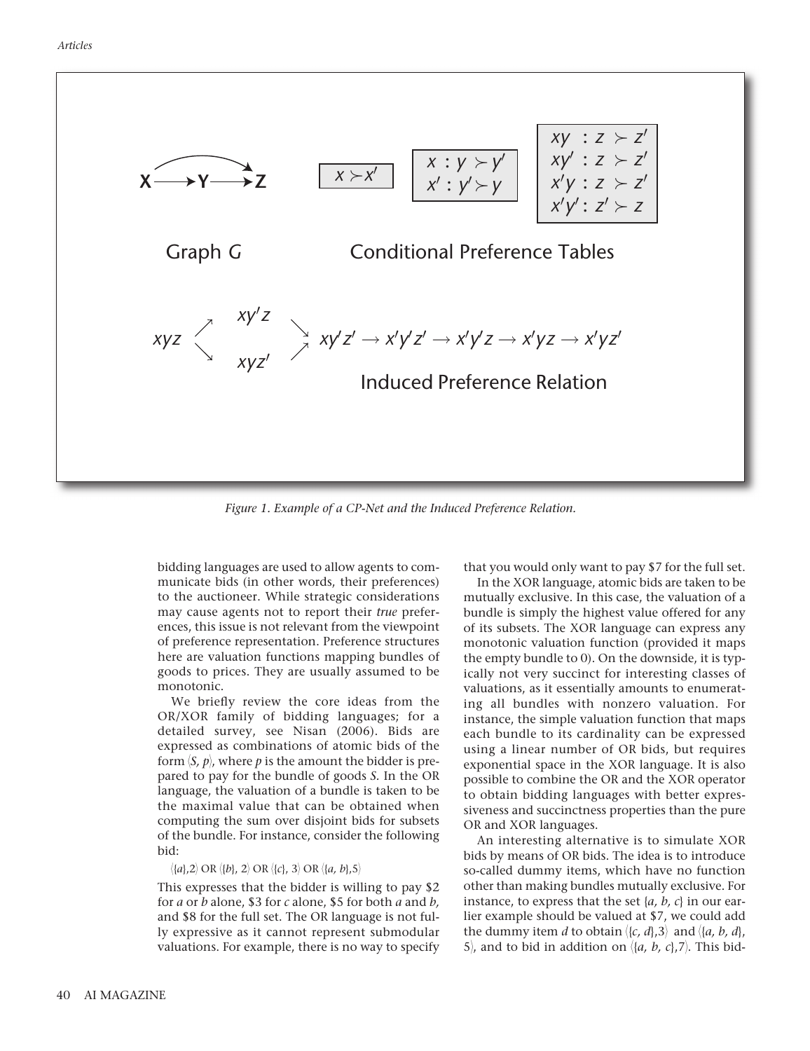

*Figure 1. Example of a CP-Net and the Induced Preference Relation.*

bidding languages are used to allow agents to communicate bids (in other words, their preferences) to the auctioneer. While strategic considerations may cause agents not to report their *true* preferences, this issue is not relevant from the viewpoint of preference representation. Preference structures here are valuation functions mapping bundles of goods to prices. They are usually assumed to be monotonic.

We briefly review the core ideas from the OR/XOR family of bidding languages; for a detailed survey, see Nisan (2006). Bids are expressed as combinations of atomic bids of the form  $\langle S, p \rangle$ , where  $p$  is the amount the bidder is prepared to pay for the bundle of goods *S.* In the OR language, the valuation of a bundle is taken to be the maximal value that can be obtained when computing the sum over disjoint bids for subsets of the bundle. For instance, consider the following bid:

 $\langle \{a\},2\rangle$  OR  $\langle \{b\},\,2\rangle$  OR  $\langle \{c\},\,3\rangle$  OR  $\langle \{a,\,b\},5\rangle$ 

This expresses that the bidder is willing to pay \$2 for *a* or *b* alone, \$3 for *c* alone, \$5 for both *a* and *b,* and \$8 for the full set. The OR language is not fully expressive as it cannot represent submodular valuations. For example, there is no way to specify that you would only want to pay \$7 for the full set.

In the XOR language, atomic bids are taken to be mutually exclusive. In this case, the valuation of a bundle is simply the highest value offered for any of its subsets. The XOR language can express any monotonic valuation function (provided it maps the empty bundle to 0). On the downside, it is typically not very succinct for interesting classes of valuations, as it essentially amounts to enumerating all bundles with nonzero valuation. For instance, the simple valuation function that maps each bundle to its cardinality can be expressed using a linear number of OR bids, but requires exponential space in the XOR language. It is also possible to combine the OR and the XOR operator to obtain bidding languages with better expressiveness and succinctness properties than the pure OR and XOR languages.

An interesting alternative is to simulate XOR bids by means of OR bids. The idea is to introduce so-called dummy items, which have no function other than making bundles mutually exclusive. For instance, to express that the set {*a, b, c*} in our earlier example should be valued at \$7, we could add the dummy item *d* to obtain  $\langle \{c, d\}, \mathcal{S} \rangle$  and  $\langle \{a, b, d\}, \mathcal{S} \rangle$ 5), and to bid in addition on  $\langle \{a, b, c\}, 7 \rangle$ . This bid-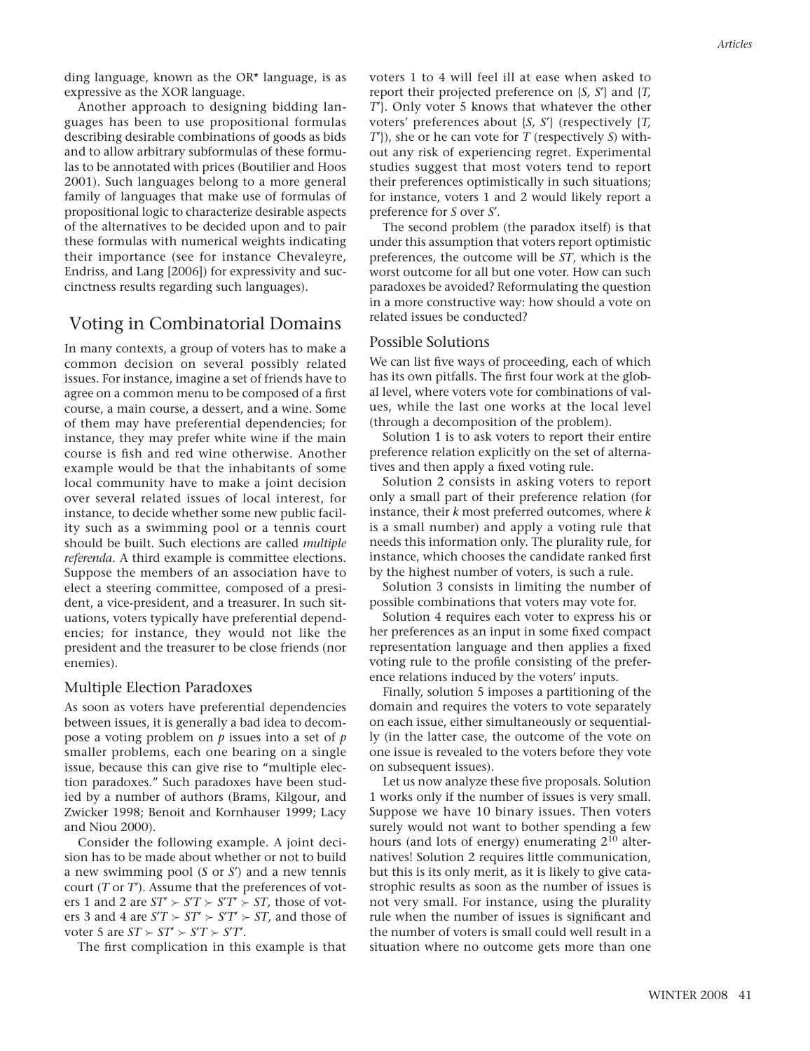Another approach to designing bidding languages has been to use propositional formulas describing desirable combinations of goods as bids and to allow arbitrary subformulas of these formulas to be annotated with prices (Boutilier and Hoos 2001). Such languages belong to a more general family of languages that make use of formulas of propositional logic to characterize desirable aspects of the alternatives to be decided upon and to pair these formulas with numerical weights indicating their importance (see for instance Chevaleyre, Endriss, and Lang [2006]) for expressivity and succinctness results regarding such languages).

## Voting in Combinatorial Domains

In many contexts, a group of voters has to make a common decision on several possibly related issues. For instance, imagine a set of friends have to agree on a common menu to be composed of a first course, a main course, a dessert, and a wine. Some of them may have preferential dependencies; for instance, they may prefer white wine if the main course is fish and red wine otherwise. Another example would be that the inhabitants of some local community have to make a joint decision over several related issues of local interest, for instance, to decide whether some new public facility such as a swimming pool or a tennis court should be built. Such elections are called *multiple referenda.* A third example is committee elections. Suppose the members of an association have to elect a steering committee, composed of a president, a vice-president, and a treasurer. In such situations, voters typically have preferential dependencies; for instance, they would not like the president and the treasurer to be close friends (nor enemies).

#### Multiple Election Paradoxes

As soon as voters have preferential dependencies between issues, it is generally a bad idea to decompose a voting problem on *p* issues into a set of *p* smaller problems, each one bearing on a single issue, because this can give rise to "multiple election paradoxes." Such paradoxes have been studied by a number of authors (Brams, Kilgour, and Zwicker 1998; Benoit and Kornhauser 1999; Lacy and Niou 2000).

Consider the following example. A joint decision has to be made about whether or not to build a new swimming pool (*S* or *S*′) and a new tennis court (*T* or *T*′). Assume that the preferences of voters 1 and 2 are  $ST' \succ ST \succ ST' \succ ST$ , those of voters 3 and 4 are  $S'T \succ ST' \succ ST' \succ ST$ , and those of voter 5 are  $ST \succ ST' \succ S'T \succ S'T'$ .

The first complication in this example is that

voters 1 to 4 will feel ill at ease when asked to report their projected preference on {*S, S*′} and {*T, T*′}. Only voter 5 knows that whatever the other voters' preferences about {*S, S*′} (respectively {*T, T*′}), she or he can vote for *T* (respectively *S*) without any risk of experiencing regret. Experimental studies suggest that most voters tend to report their preferences optimistically in such situations; for instance, voters 1 and 2 would likely report a preference for *S* over *S*′.

The second problem (the paradox itself) is that under this assumption that voters report optimistic preferences, the outcome will be *ST*, which is the worst outcome for all but one voter. How can such paradoxes be avoided? Reformulating the question in a more constructive way: how should a vote on related issues be conducted?

### Possible Solutions

We can list five ways of proceeding, each of which has its own pitfalls. The first four work at the global level, where voters vote for combinations of values, while the last one works at the local level (through a decomposition of the problem).

Solution 1 is to ask voters to report their entire preference relation explicitly on the set of alternatives and then apply a fixed voting rule.

Solution 2 consists in asking voters to report only a small part of their preference relation (for instance, their *k* most preferred outcomes, where *k* is a small number) and apply a voting rule that needs this information only. The plurality rule, for instance, which chooses the candidate ranked first by the highest number of voters, is such a rule.

Solution 3 consists in limiting the number of possible combinations that voters may vote for.

Solution 4 requires each voter to express his or her preferences as an input in some fixed compact representation language and then applies a fixed voting rule to the profile consisting of the preference relations induced by the voters' inputs.

Finally, solution 5 imposes a partitioning of the domain and requires the voters to vote separately on each issue, either simultaneously or sequentially (in the latter case, the outcome of the vote on one issue is revealed to the voters before they vote on subsequent issues).

Let us now analyze these five proposals. Solution 1 works only if the number of issues is very small. Suppose we have 10 binary issues. Then voters surely would not want to bother spending a few hours (and lots of energy) enumerating 2<sup>10</sup> alternatives! Solution 2 requires little communication, but this is its only merit, as it is likely to give catastrophic results as soon as the number of issues is not very small. For instance, using the plurality rule when the number of issues is significant and the number of voters is small could well result in a situation where no outcome gets more than one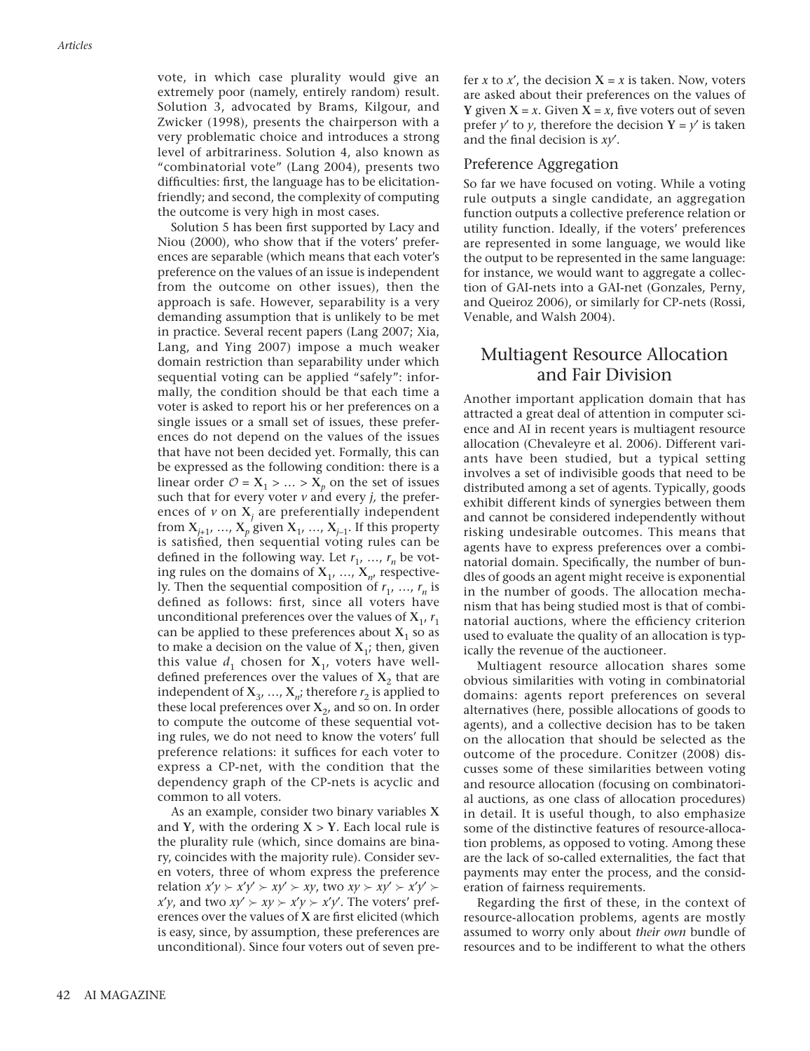vote, in which case plurality would give an extremely poor (namely, entirely random) result. Solution 3, advocated by Brams, Kilgour, and Zwicker (1998), presents the chairperson with a very problematic choice and introduces a strong level of arbitrariness. Solution 4, also known as "combinatorial vote" (Lang 2004), presents two difficulties: first, the language has to be elicitationfriendly; and second, the complexity of computing the outcome is very high in most cases.

Solution 5 has been first supported by Lacy and Niou (2000), who show that if the voters' preferences are separable (which means that each voter's preference on the values of an issue is independent from the outcome on other issues), then the approach is safe. However, separability is a very demanding assumption that is unlikely to be met in practice. Several recent papers (Lang 2007; Xia, Lang, and Ying 2007) impose a much weaker domain restriction than separability under which sequential voting can be applied "safely": informally, the condition should be that each time a voter is asked to report his or her preferences on a single issues or a small set of issues, these preferences do not depend on the values of the issues that have not been decided yet. Formally, this can be expressed as the following condition: there is a linear order  $\mathcal{O} = \mathbf{X}_1 > ... > \mathbf{X}_p$  on the set of issues such that for every voter *v* and every *j,* the preferences of  $v$  on  $X_i$  are preferentially independent from  $X_{j+1}$ , …,  $X_p$  given  $X_1$ , …,  $X_{j-1}$ . If this property is satisfied, then sequential voting rules can be defined in the following way. Let  $r_1$ , ...,  $r_n$  be voting rules on the domains of  $X_1$ , ...,  $X_n$ , respectively. Then the sequential composition of  $r_1$ , ...,  $r_n$  is defined as follows: first, since all voters have unconditional preferences over the values of  $X_1$ ,  $r_1$ can be applied to these preferences about  $X_1$  so as to make a decision on the value of  $X_1$ ; then, given this value  $d_1$  chosen for  $X_1$ , voters have welldefined preferences over the values of  $X_2$  that are independent of  $X_3$ , ...,  $X_n$ ; therefore  $r_2$  is applied to these local preferences over  $X_2$ , and so on. In order to compute the outcome of these sequential voting rules, we do not need to know the voters' full preference relations: it suffices for each voter to express a CP-net, with the condition that the dependency graph of the CP-nets is acyclic and common to all voters.

As an example, consider two binary variables **X** and **Y**, with the ordering  $X > Y$ . Each local rule is the plurality rule (which, since domains are binary, coincides with the majority rule). Consider seven voters, three of whom express the preference relation  $x'y \succ x'y' \succ xy' \succ xy$ , two  $xy \succ xy' \succ x'y' \succ x''$ *x*<sup>'</sup>*y*, and two  $xy' \succ xy \succ x'y \succ x'y'$ . The voters' preferences over the values of **X** are first elicited (which is easy, since, by assumption, these preferences are unconditional). Since four voters out of seven prefer *x* to *x'*, the decision  $X = x$  is taken. Now, voters are asked about their preferences on the values of **Y** given  $X = x$ . Given  $X = x$ , five voters out of seven prefer *y'* to *y*, therefore the decision  $Y = y'$  is taken and the final decision is *xy*′.

#### Preference Aggregation

So far we have focused on voting. While a voting rule outputs a single candidate, an aggregation function outputs a collective preference relation or utility function. Ideally, if the voters' preferences are represented in some language, we would like the output to be represented in the same language: for instance, we would want to aggregate a collection of GAI-nets into a GAI-net (Gonzales, Perny, and Queiroz 2006), or similarly for CP-nets (Rossi, Venable, and Walsh 2004).

## Multiagent Resource Allocation and Fair Division

Another important application domain that has attracted a great deal of attention in computer science and AI in recent years is multiagent resource allocation (Chevaleyre et al. 2006). Different variants have been studied, but a typical setting involves a set of indivisible goods that need to be distributed among a set of agents. Typically, goods exhibit different kinds of synergies between them and cannot be considered independently without risking undesirable outcomes. This means that agents have to express preferences over a combinatorial domain. Specifically, the number of bundles of goods an agent might receive is exponential in the number of goods. The allocation mechanism that has being studied most is that of combinatorial auctions, where the efficiency criterion used to evaluate the quality of an allocation is typically the revenue of the auctioneer.

Multiagent resource allocation shares some obvious similarities with voting in combinatorial domains: agents report preferences on several alternatives (here, possible allocations of goods to agents), and a collective decision has to be taken on the allocation that should be selected as the outcome of the procedure. Conitzer (2008) discusses some of these similarities between voting and resource allocation (focusing on combinatorial auctions, as one class of allocation procedures) in detail. It is useful though, to also emphasize some of the distinctive features of resource-allocation problems, as opposed to voting. Among these are the lack of so-called externalities*,* the fact that payments may enter the process, and the consideration of fairness requirements.

Regarding the first of these, in the context of resource-allocation problems, agents are mostly assumed to worry only about *their own* bundle of resources and to be indifferent to what the others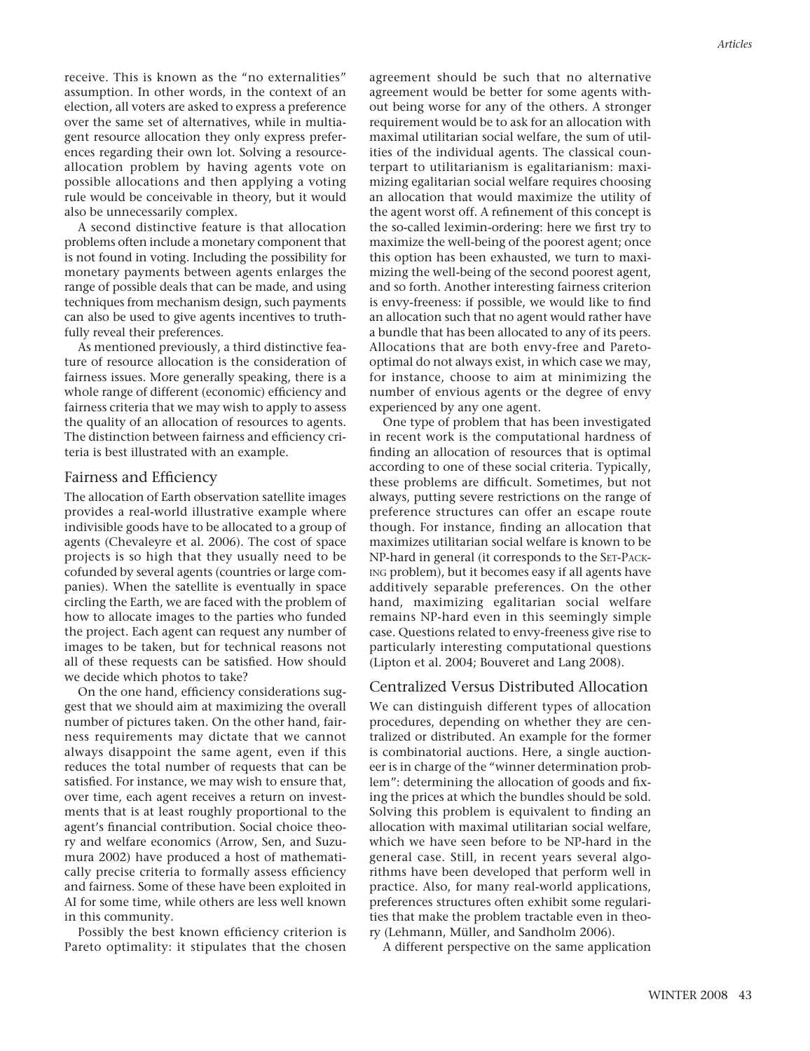receive. This is known as the "no externalities" assumption. In other words, in the context of an election, all voters are asked to express a preference over the same set of alternatives, while in multiagent resource allocation they only express preferences regarding their own lot. Solving a resourceallocation problem by having agents vote on possible allocations and then applying a voting rule would be conceivable in theory, but it would also be unnecessarily complex.

A second distinctive feature is that allocation problems often include a monetary component that is not found in voting. Including the possibility for monetary payments between agents enlarges the range of possible deals that can be made, and using techniques from mechanism design, such payments can also be used to give agents incentives to truthfully reveal their preferences.

As mentioned previously, a third distinctive feature of resource allocation is the consideration of fairness issues. More generally speaking, there is a whole range of different (economic) efficiency and fairness criteria that we may wish to apply to assess the quality of an allocation of resources to agents. The distinction between fairness and efficiency criteria is best illustrated with an example.

#### Fairness and Efficiency

The allocation of Earth observation satellite images provides a real-world illustrative example where indivisible goods have to be allocated to a group of agents (Chevaleyre et al. 2006). The cost of space projects is so high that they usually need to be cofunded by several agents (countries or large companies). When the satellite is eventually in space circling the Earth, we are faced with the problem of how to allocate images to the parties who funded the project. Each agent can request any number of images to be taken, but for technical reasons not all of these requests can be satisfied. How should we decide which photos to take?

On the one hand, efficiency considerations suggest that we should aim at maximizing the overall number of pictures taken. On the other hand, fairness requirements may dictate that we cannot always disappoint the same agent, even if this reduces the total number of requests that can be satisfied. For instance, we may wish to ensure that, over time, each agent receives a return on investments that is at least roughly proportional to the agent's financial contribution. Social choice theory and welfare economics (Arrow, Sen, and Suzumura 2002) have produced a host of mathematically precise criteria to formally assess efficiency and fairness. Some of these have been exploited in AI for some time, while others are less well known in this community.

Possibly the best known efficiency criterion is Pareto optimality: it stipulates that the chosen

agreement should be such that no alternative agreement would be better for some agents without being worse for any of the others. A stronger requirement would be to ask for an allocation with maximal utilitarian social welfare, the sum of utilities of the individual agents. The classical counterpart to utilitarianism is egalitarianism: maximizing egalitarian social welfare requires choosing an allocation that would maximize the utility of the agent worst off. A refinement of this concept is the so-called leximin-ordering: here we first try to maximize the well-being of the poorest agent; once this option has been exhausted, we turn to maximizing the well-being of the second poorest agent, and so forth. Another interesting fairness criterion is envy-freeness: if possible, we would like to find an allocation such that no agent would rather have a bundle that has been allocated to any of its peers. Allocations that are both envy-free and Paretooptimal do not always exist, in which case we may, for instance, choose to aim at minimizing the number of envious agents or the degree of envy experienced by any one agent.

One type of problem that has been investigated in recent work is the computational hardness of finding an allocation of resources that is optimal according to one of these social criteria. Typically, these problems are difficult. Sometimes, but not always, putting severe restrictions on the range of preference structures can offer an escape route though. For instance, finding an allocation that maximizes utilitarian social welfare is known to be NP-hard in general (it corresponds to the SET-PACK-ING problem), but it becomes easy if all agents have additively separable preferences. On the other hand, maximizing egalitarian social welfare remains NP-hard even in this seemingly simple case. Questions related to envy-freeness give rise to particularly interesting computational questions (Lipton et al. 2004; Bouveret and Lang 2008).

#### Centralized Versus Distributed Allocation

We can distinguish different types of allocation procedures, depending on whether they are centralized or distributed. An example for the former is combinatorial auctions. Here, a single auctioneer is in charge of the "winner determination problem": determining the allocation of goods and fixing the prices at which the bundles should be sold. Solving this problem is equivalent to finding an allocation with maximal utilitarian social welfare, which we have seen before to be NP-hard in the general case. Still, in recent years several algorithms have been developed that perform well in practice. Also, for many real-world applications, preferences structures often exhibit some regularities that make the problem tractable even in theory (Lehmann, Müller, and Sandholm 2006).

A different perspective on the same application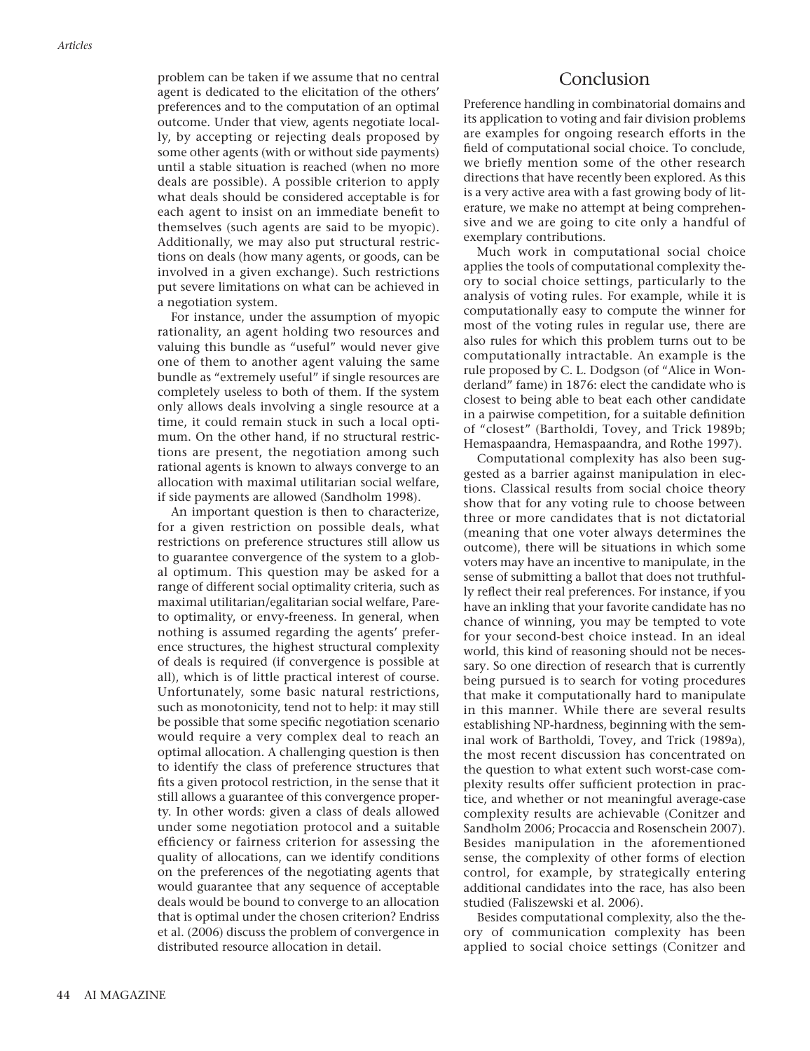problem can be taken if we assume that no central agent is dedicated to the elicitation of the others' preferences and to the computation of an optimal outcome. Under that view, agents negotiate locally, by accepting or rejecting deals proposed by some other agents (with or without side payments) until a stable situation is reached (when no more deals are possible). A possible criterion to apply what deals should be considered acceptable is for each agent to insist on an immediate benefit to themselves (such agents are said to be myopic). Additionally, we may also put structural restrictions on deals (how many agents, or goods, can be involved in a given exchange). Such restrictions put severe limitations on what can be achieved in a negotiation system.

For instance, under the assumption of myopic rationality, an agent holding two resources and valuing this bundle as "useful" would never give one of them to another agent valuing the same bundle as "extremely useful" if single resources are completely useless to both of them. If the system only allows deals involving a single resource at a time, it could remain stuck in such a local optimum. On the other hand, if no structural restrictions are present, the negotiation among such rational agents is known to always converge to an allocation with maximal utilitarian social welfare, if side payments are allowed (Sandholm 1998).

An important question is then to characterize, for a given restriction on possible deals, what restrictions on preference structures still allow us to guarantee convergence of the system to a global optimum. This question may be asked for a range of different social optimality criteria, such as maximal utilitarian/egalitarian social welfare, Pareto optimality, or envy-freeness. In general, when nothing is assumed regarding the agents' preference structures, the highest structural complexity of deals is required (if convergence is possible at all), which is of little practical interest of course. Unfortunately, some basic natural restrictions, such as monotonicity, tend not to help: it may still be possible that some specific negotiation scenario would require a very complex deal to reach an optimal allocation. A challenging question is then to identify the class of preference structures that fits a given protocol restriction, in the sense that it still allows a guarantee of this convergence property. In other words: given a class of deals allowed under some negotiation protocol and a suitable efficiency or fairness criterion for assessing the quality of allocations, can we identify conditions on the preferences of the negotiating agents that would guarantee that any sequence of acceptable deals would be bound to converge to an allocation that is optimal under the chosen criterion? Endriss et al. (2006) discuss the problem of convergence in distributed resource allocation in detail.

## Conclusion

Preference handling in combinatorial domains and its application to voting and fair division problems are examples for ongoing research efforts in the field of computational social choice. To conclude, we briefly mention some of the other research directions that have recently been explored. As this is a very active area with a fast growing body of literature, we make no attempt at being comprehensive and we are going to cite only a handful of exemplary contributions.

Much work in computational social choice applies the tools of computational complexity theory to social choice settings, particularly to the analysis of voting rules. For example, while it is computationally easy to compute the winner for most of the voting rules in regular use, there are also rules for which this problem turns out to be computationally intractable. An example is the rule proposed by C. L. Dodgson (of "Alice in Wonderland" fame) in 1876: elect the candidate who is closest to being able to beat each other candidate in a pairwise competition, for a suitable definition of "closest" (Bartholdi, Tovey, and Trick 1989b; Hemaspaandra, Hemaspaandra, and Rothe 1997).

Computational complexity has also been suggested as a barrier against manipulation in elections. Classical results from social choice theory show that for any voting rule to choose between three or more candidates that is not dictatorial (meaning that one voter always determines the outcome), there will be situations in which some voters may have an incentive to manipulate, in the sense of submitting a ballot that does not truthfully reflect their real preferences. For instance, if you have an inkling that your favorite candidate has no chance of winning, you may be tempted to vote for your second-best choice instead. In an ideal world, this kind of reasoning should not be necessary. So one direction of research that is currently being pursued is to search for voting procedures that make it computationally hard to manipulate in this manner. While there are several results establishing NP-hardness, beginning with the seminal work of Bartholdi, Tovey, and Trick (1989a), the most recent discussion has concentrated on the question to what extent such worst-case complexity results offer sufficient protection in practice, and whether or not meaningful average-case complexity results are achievable (Conitzer and Sandholm 2006; Procaccia and Rosenschein 2007). Besides manipulation in the aforementioned sense, the complexity of other forms of election control, for example, by strategically entering additional candidates into the race, has also been studied (Faliszewski et al. 2006).

Besides computational complexity, also the theory of communication complexity has been applied to social choice settings (Conitzer and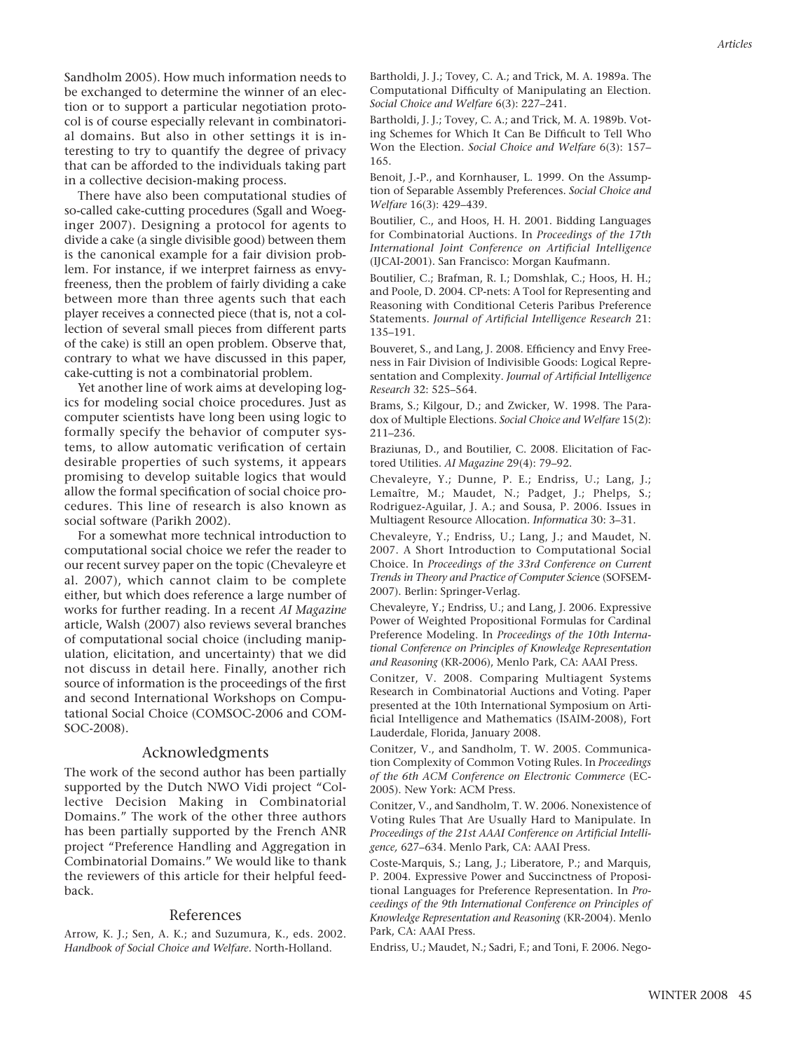Bartholdi, J. J.; Tovey, C. A.; and Trick, M. A. 1989b. Voting Schemes for Which It Can Be Difficult to Tell Who Won the Election. *Social Choice and Welfare* 6(3): 157– 165.

Benoit, J.-P., and Kornhauser, L. 1999. On the Assumption of Separable Assembly Preferences. *Social Choice and Welfare* 16(3): 429–439.

Boutilier, C., and Hoos, H. H. 2001. Bidding Languages for Combinatorial Auctions. In *Proceedings of the 17th International Joint Conference on Artificial Intelligence* (IJCAI-2001). San Francisco: Morgan Kaufmann.

Boutilier, C.; Brafman, R. I.; Domshlak, C.; Hoos, H. H.; and Poole, D. 2004. CP-nets: A Tool for Representing and Reasoning with Conditional Ceteris Paribus Preference Statements. *Journal of Artificial Intelligence Research* 21: 135–191.

Bouveret, S., and Lang, J. 2008. Efficiency and Envy Freeness in Fair Division of Indivisible Goods: Logical Representation and Complexity. *Journal of Artificial Intelligence Research* 32: 525–564.

Brams, S.; Kilgour, D.; and Zwicker, W. 1998. The Paradox of Multiple Elections. *Social Choice and Welfare* 15(2): 211–236.

Braziunas, D., and Boutilier, C. 2008. Elicitation of Factored Utilities. *AI Magazine* 29(4): 79–92.

Chevaleyre, Y.; Dunne, P. E.; Endriss, U.; Lang, J.; Lemaître, M.; Maudet, N.; Padget, J.; Phelps, S.; Rodriguez-Aguilar, J. A.; and Sousa, P. 2006. Issues in Multiagent Resource Allocation. *Informatica* 30: 3–31.

Chevaleyre, Y.; Endriss, U.; Lang, J.; and Maudet, N. 2007. A Short Introduction to Computational Social Choice. In *Proceedings of the 33rd Conference on Current Trends in Theory and Practice of Computer Scienc*e (SOFSEM-2007). Berlin: Springer-Verlag.

Chevaleyre, Y.; Endriss, U.; and Lang, J. 2006. Expressive Power of Weighted Propositional Formulas for Cardinal Preference Modeling. In *Proceedings of the 10th International Conference on Principles of Knowledge Representation and Reasoning* (KR-2006), Menlo Park, CA: AAAI Press.

Conitzer, V. 2008. Comparing Multiagent Systems Research in Combinatorial Auctions and Voting. Paper presented at the 10th International Symposium on Artificial Intelligence and Mathematics (ISAIM-2008), Fort Lauderdale, Florida, January 2008.

Conitzer, V., and Sandholm, T. W. 2005. Communication Complexity of Common Voting Rules. In *Proceedings of the 6th ACM Conference on Electronic Commerce* (EC-2005). New York: ACM Press.

Conitzer, V., and Sandholm, T. W. 2006. Nonexistence of Voting Rules That Are Usually Hard to Manipulate. In *Proceedings of the 21st AAAI Conference on Artificial Intelligence,* 627–634. Menlo Park, CA: AAAI Press.

Coste-Marquis, S.; Lang, J.; Liberatore, P.; and Marquis, P. 2004. Expressive Power and Succinctness of Propositional Languages for Preference Representation. In *Proceedings of the 9th International Conference on Principles of Knowledge Representation and Reasoning* (KR-2004). Menlo Park, CA: AAAI Press.

Endriss, U.; Maudet, N.; Sadri, F.; and Toni, F. 2006. Nego-

Sandholm 2005). How much information needs to be exchanged to determine the winner of an election or to support a particular negotiation protocol is of course especially relevant in combinatorial domains. But also in other settings it is interesting to try to quantify the degree of privacy that can be afforded to the individuals taking part in a collective decision-making process.

There have also been computational studies of so-called cake-cutting procedures (Sgall and Woeginger 2007). Designing a protocol for agents to divide a cake (a single divisible good) between them is the canonical example for a fair division problem. For instance, if we interpret fairness as envyfreeness, then the problem of fairly dividing a cake between more than three agents such that each player receives a connected piece (that is, not a collection of several small pieces from different parts of the cake) is still an open problem. Observe that, contrary to what we have discussed in this paper, cake-cutting is not a combinatorial problem.

Yet another line of work aims at developing logics for modeling social choice procedures. Just as computer scientists have long been using logic to formally specify the behavior of computer systems, to allow automatic verification of certain desirable properties of such systems, it appears promising to develop suitable logics that would allow the formal specification of social choice procedures. This line of research is also known as social software (Parikh 2002).

For a somewhat more technical introduction to computational social choice we refer the reader to our recent survey paper on the topic (Chevaleyre et al. 2007), which cannot claim to be complete either, but which does reference a large number of works for further reading. In a recent *AI Magazine* article, Walsh (2007) also reviews several branches of computational social choice (including manipulation, elicitation, and uncertainty) that we did not discuss in detail here. Finally, another rich source of information is the proceedings of the first and second International Workshops on Computational Social Choice (COMSOC-2006 and COM-SOC-2008).

#### Acknowledgments

The work of the second author has been partially supported by the Dutch NWO Vidi project "Collective Decision Making in Combinatorial Domains." The work of the other three authors has been partially supported by the French ANR project "Preference Handling and Aggregation in Combinatorial Domains." We would like to thank the reviewers of this article for their helpful feedback.

#### References

Arrow, K. J.; Sen, A. K.; and Suzumura, K., eds. 2002. *Handbook of Social Choice and Welfare.* North-Holland.